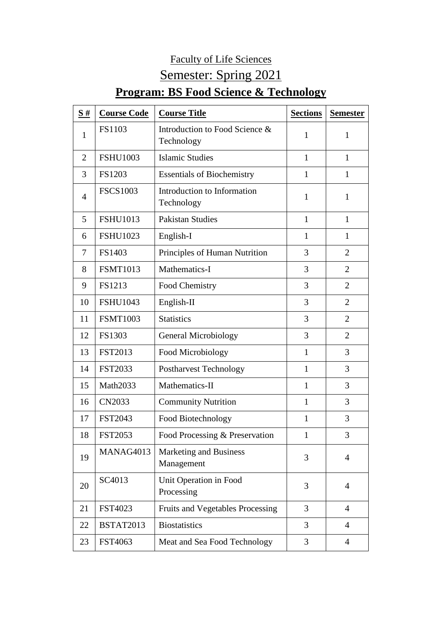## Faculty of Life Sciences

## Semester: Spring 2021

## **Program: BS Food Science & Technology**

| S#             | <b>Course Code</b> | <b>Course Title</b>                          | <b>Sections</b> | <b>Semester</b> |
|----------------|--------------------|----------------------------------------------|-----------------|-----------------|
| 1              | FS1103             | Introduction to Food Science &<br>Technology | 1               | $\mathbf{1}$    |
| $\overline{2}$ | <b>FSHU1003</b>    | <b>Islamic Studies</b>                       | 1               | $\mathbf{1}$    |
| 3              | FS1203             | <b>Essentials of Biochemistry</b>            | $\mathbf{1}$    | $\mathbf{1}$    |
| $\overline{4}$ | <b>FSCS1003</b>    | Introduction to Information<br>Technology    | $\mathbf{1}$    | $\mathbf{1}$    |
| 5              | <b>FSHU1013</b>    | <b>Pakistan Studies</b>                      | $\mathbf{1}$    | $\mathbf{1}$    |
| 6              | <b>FSHU1023</b>    | English-I                                    | 1               | 1               |
| 7              | FS1403             | Principles of Human Nutrition                | 3               | $\overline{2}$  |
| 8              | <b>FSMT1013</b>    | Mathematics-I                                | 3               | $\overline{2}$  |
| 9              | FS1213             | Food Chemistry                               | 3               | $\overline{2}$  |
| 10             | <b>FSHU1043</b>    | English-II                                   | 3               | $\overline{2}$  |
| 11             | <b>FSMT1003</b>    | <b>Statistics</b>                            | 3               | $\overline{2}$  |
| 12             | FS1303             | <b>General Microbiology</b>                  | 3               | $\overline{2}$  |
| 13             | <b>FST2013</b>     | Food Microbiology                            | $\mathbf{1}$    | 3               |
| 14             | <b>FST2033</b>     | <b>Postharvest Technology</b>                | 1               | 3               |
| 15             | Math2033           | Mathematics-II                               | $\mathbf{1}$    | 3               |
| 16             | CN2033             | <b>Community Nutrition</b>                   | 1               | 3               |
| 17             | <b>FST2043</b>     | Food Biotechnology                           | 1               | 3               |
| 18             | FST2053            | Food Processing & Preservation               | 1               | 3               |
| 19             | MANAG4013          | Marketing and Business<br>Management         | 3               | $\overline{4}$  |
| 20             | SC4013             | Unit Operation in Food<br>Processing         | 3               | $\overline{4}$  |
| 21             | FST4023            | Fruits and Vegetables Processing             | 3               | $\overline{4}$  |
| 22             | <b>BSTAT2013</b>   | <b>Biostatistics</b>                         | 3               | $\overline{4}$  |
| 23             | FST4063            | Meat and Sea Food Technology                 | 3               | $\overline{4}$  |